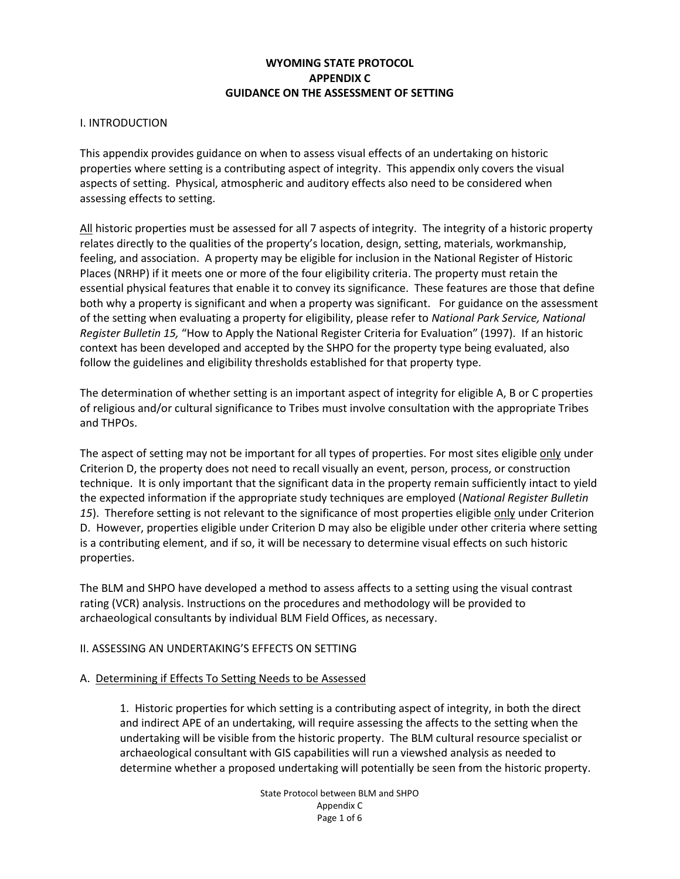## **WYOMING STATE PROTOCOL APPENDIX C GUIDANCE ON THE ASSESSMENT OF SETTING**

#### I. INTRODUCTION

This appendix provides guidance on when to assess visual effects of an undertaking on historic properties where setting is a contributing aspect of integrity. This appendix only covers the visual aspects of setting. Physical, atmospheric and auditory effects also need to be considered when assessing effects to setting.

All historic properties must be assessed for all 7 aspects of integrity. The integrity of a historic property relates directly to the qualities of the property's location, design, setting, materials, workmanship, feeling, and association. A property may be eligible for inclusion in the National Register of Historic Places (NRHP) if it meets one or more of the four eligibility criteria. The property must retain the essential physical features that enable it to convey its significance. These features are those that define both why a property is significant and when a property was significant. For guidance on the assessment of the setting when evaluating a property for eligibility, please refer to *National Park Service, National Register Bulletin 15,* "How to Apply the National Register Criteria for Evaluation" (1997). If an historic context has been developed and accepted by the SHPO for the property type being evaluated, also follow the guidelines and eligibility thresholds established for that property type.

The determination of whether setting is an important aspect of integrity for eligible A, B or C properties of religious and/or cultural significance to Tribes must involve consultation with the appropriate Tribes and THPOs.

The aspect of setting may not be important for all types of properties. For most sites eligible only under Criterion D, the property does not need to recall visually an event, person, process, or construction technique. It is only important that the significant data in the property remain sufficiently intact to yield the expected information if the appropriate study techniques are employed (*National Register Bulletin 15*). Therefore setting is not relevant to the significance of most properties eligible only under Criterion D. However, properties eligible under Criterion D may also be eligible under other criteria where setting is a contributing element, and if so, it will be necessary to determine visual effects on such historic properties.

The BLM and SHPO have developed a method to assess affects to a setting using the visual contrast rating (VCR) analysis. Instructions on the procedures and methodology will be provided to archaeological consultants by individual BLM Field Offices, as necessary.

### II. ASSESSING AN UNDERTAKING'S EFFECTS ON SETTING

#### A. Determining if Effects To Setting Needs to be Assessed

1. Historic properties for which setting is a contributing aspect of integrity, in both the direct and indirect APE of an undertaking, will require assessing the affects to the setting when the undertaking will be visible from the historic property. The BLM cultural resource specialist or archaeological consultant with GIS capabilities will run a viewshed analysis as needed to determine whether a proposed undertaking will potentially be seen from the historic property.

> State Protocol between BLM and SHPO Appendix C Page 1 of 6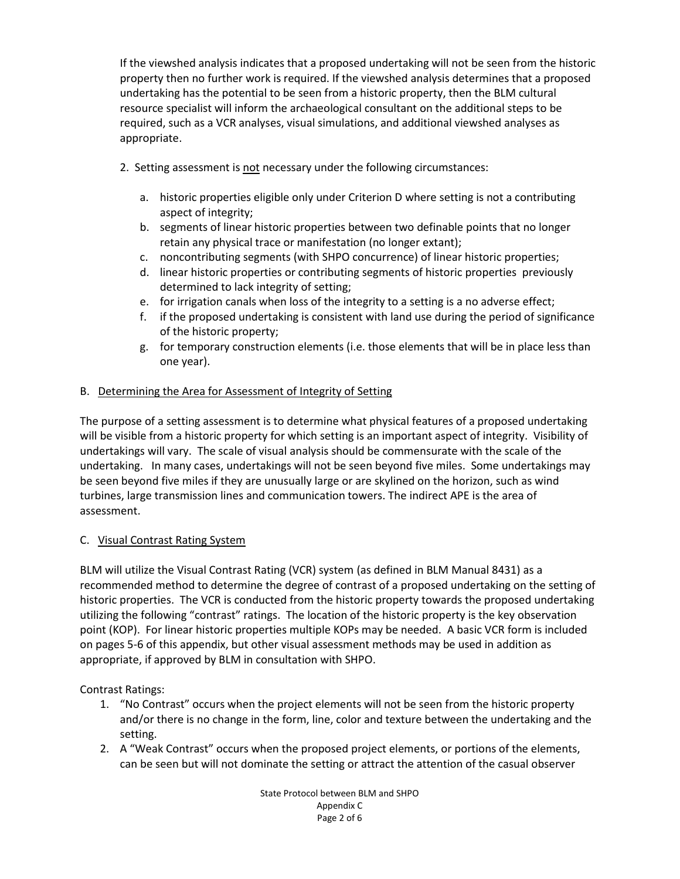If the viewshed analysis indicates that a proposed undertaking will not be seen from the historic property then no further work is required. If the viewshed analysis determines that a proposed undertaking has the potential to be seen from a historic property, then the BLM cultural resource specialist will inform the archaeological consultant on the additional steps to be required, such as a VCR analyses, visual simulations, and additional viewshed analyses as appropriate.

- 2. Setting assessment is not necessary under the following circumstances:
	- a. historic properties eligible only under Criterion D where setting is not a contributing aspect of integrity;
	- b. segments of linear historic properties between two definable points that no longer retain any physical trace or manifestation (no longer extant);
	- c. noncontributing segments (with SHPO concurrence) of linear historic properties;
	- d. linear historic properties or contributing segments of historic properties previously determined to lack integrity of setting;
	- e. for irrigation canals when loss of the integrity to a setting is a no adverse effect;
	- f. if the proposed undertaking is consistent with land use during the period of significance of the historic property;
	- g. for temporary construction elements (i.e. those elements that will be in place less than one year).

## B. Determining the Area for Assessment of Integrity of Setting

The purpose of a setting assessment is to determine what physical features of a proposed undertaking will be visible from a historic property for which setting is an important aspect of integrity. Visibility of undertakings will vary. The scale of visual analysis should be commensurate with the scale of the undertaking. In many cases, undertakings will not be seen beyond five miles. Some undertakings may be seen beyond five miles if they are unusually large or are skylined on the horizon, such as wind turbines, large transmission lines and communication towers. The indirect APE is the area of assessment.

## C. Visual Contrast Rating System

BLM will utilize the Visual Contrast Rating (VCR) system (as defined in BLM Manual 8431) as a recommended method to determine the degree of contrast of a proposed undertaking on the setting of historic properties. The VCR is conducted from the historic property towards the proposed undertaking utilizing the following "contrast" ratings. The location of the historic property is the key observation point (KOP). For linear historic properties multiple KOPs may be needed. A basic VCR form is included on pages 5-6 of this appendix, but other visual assessment methods may be used in addition as appropriate, if approved by BLM in consultation with SHPO.

Contrast Ratings:

- 1. "No Contrast" occurs when the project elements will not be seen from the historic property and/or there is no change in the form, line, color and texture between the undertaking and the setting.
- 2. A "Weak Contrast" occurs when the proposed project elements, or portions of the elements, can be seen but will not dominate the setting or attract the attention of the casual observer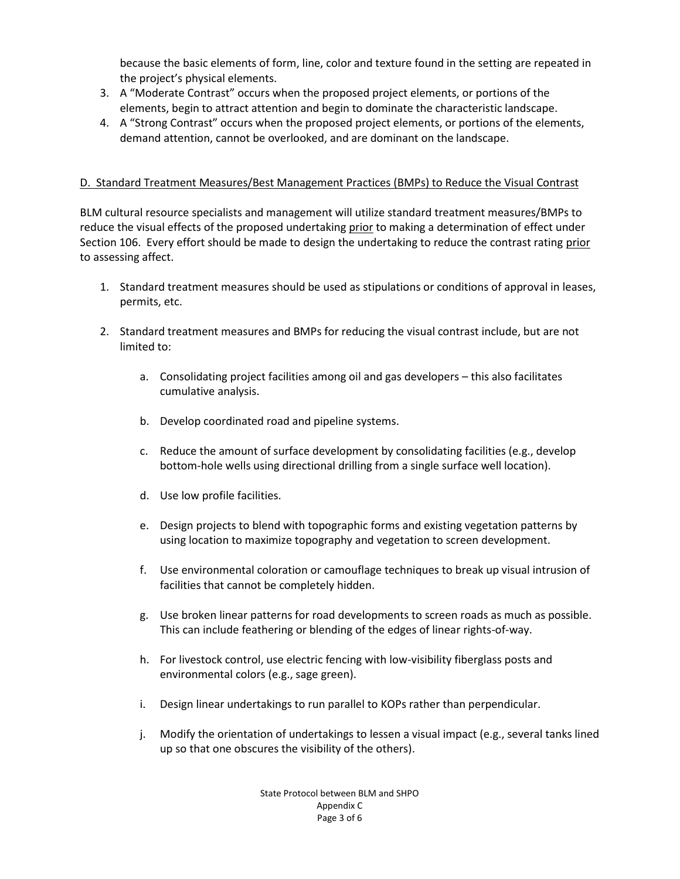because the basic elements of form, line, color and texture found in the setting are repeated in the project's physical elements.

- 3. A "Moderate Contrast" occurs when the proposed project elements, or portions of the elements, begin to attract attention and begin to dominate the characteristic landscape.
- 4. A "Strong Contrast" occurs when the proposed project elements, or portions of the elements, demand attention, cannot be overlooked, and are dominant on the landscape.

## D. Standard Treatment Measures/Best Management Practices (BMPs) to Reduce the Visual Contrast

BLM cultural resource specialists and management will utilize standard treatment measures/BMPs to reduce the visual effects of the proposed undertaking prior to making a determination of effect under Section 106. Every effort should be made to design the undertaking to reduce the contrast rating prior to assessing affect.

- 1. Standard treatment measures should be used as stipulations or conditions of approval in leases, permits, etc.
- 2. Standard treatment measures and BMPs for reducing the visual contrast include, but are not limited to:
	- a. Consolidating project facilities among oil and gas developers this also facilitates cumulative analysis.
	- b. Develop coordinated road and pipeline systems.
	- c. Reduce the amount of surface development by consolidating facilities (e.g., develop bottom-hole wells using directional drilling from a single surface well location).
	- d. Use low profile facilities.
	- e. Design projects to blend with topographic forms and existing vegetation patterns by using location to maximize topography and vegetation to screen development.
	- f. Use environmental coloration or camouflage techniques to break up visual intrusion of facilities that cannot be completely hidden.
	- g. Use broken linear patterns for road developments to screen roads as much as possible. This can include feathering or blending of the edges of linear rights-of-way.
	- h. For livestock control, use electric fencing with low-visibility fiberglass posts and environmental colors (e.g., sage green).
	- i. Design linear undertakings to run parallel to KOPs rather than perpendicular.
	- j. Modify the orientation of undertakings to lessen a visual impact (e.g., several tanks lined up so that one obscures the visibility of the others).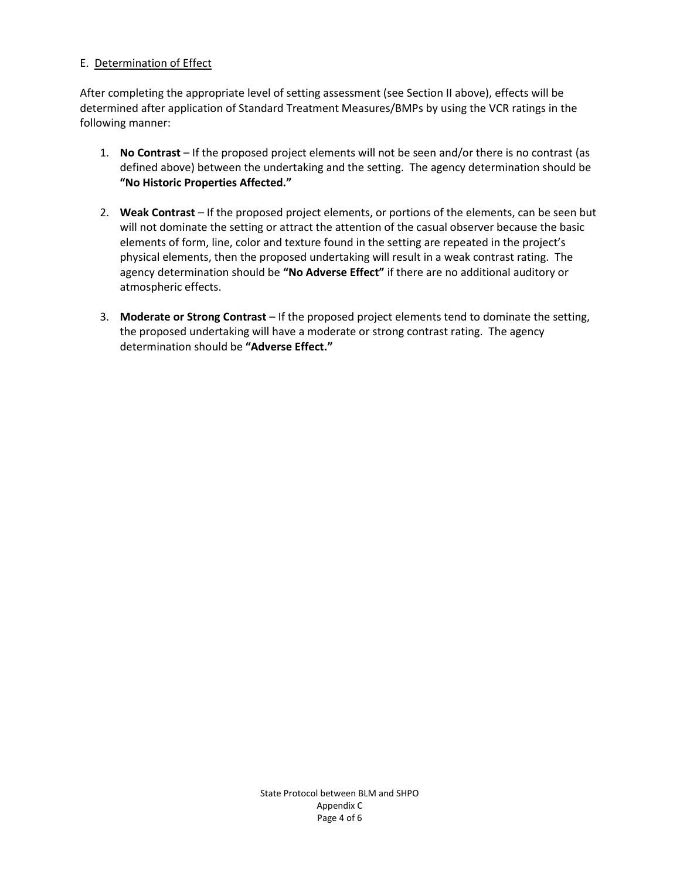### E. Determination of Effect

After completing the appropriate level of setting assessment (see Section II above), effects will be determined after application of Standard Treatment Measures/BMPs by using the VCR ratings in the following manner:

- 1. **No Contrast** If the proposed project elements will not be seen and/or there is no contrast (as defined above) between the undertaking and the setting. The agency determination should be **"No Historic Properties Affected."**
- 2. **Weak Contrast**  If the proposed project elements, or portions of the elements, can be seen but will not dominate the setting or attract the attention of the casual observer because the basic elements of form, line, color and texture found in the setting are repeated in the project's physical elements, then the proposed undertaking will result in a weak contrast rating. The agency determination should be **"No Adverse Effect"** if there are no additional auditory or atmospheric effects.
- 3. **Moderate or Strong Contrast**  If the proposed project elements tend to dominate the setting, the proposed undertaking will have a moderate or strong contrast rating. The agency determination should be **"Adverse Effect."**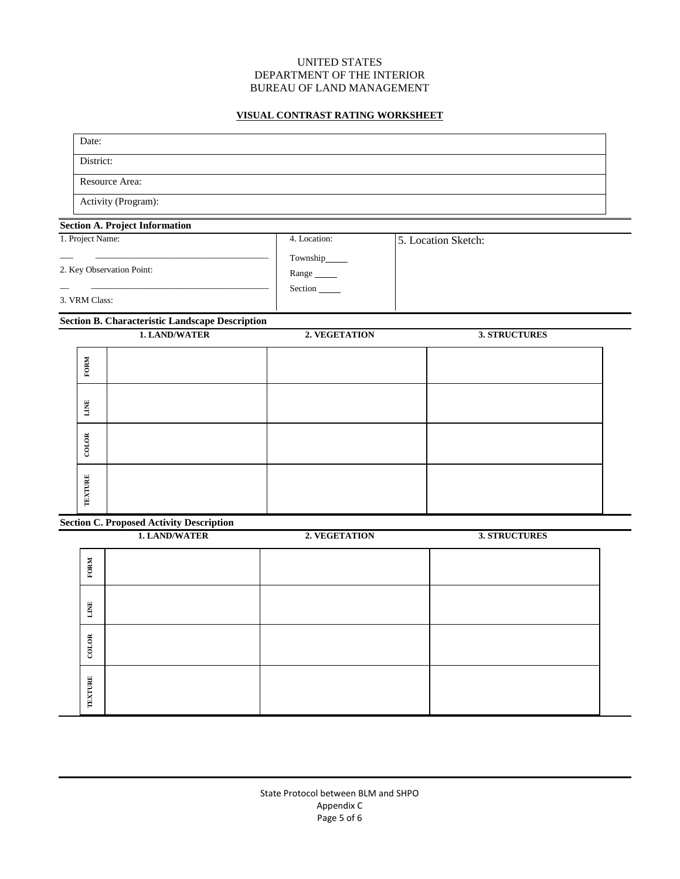#### UNITED STATES DEPARTMENT OF THE INTERIOR BUREAU OF LAND MANAGEMENT

### **VISUAL CONTRAST RATING WORKSHEET**

| Date:            |                                                        |                                    |                      |  |
|------------------|--------------------------------------------------------|------------------------------------|----------------------|--|
| District:        |                                                        |                                    |                      |  |
|                  | Resource Area:                                         |                                    |                      |  |
|                  | Activity (Program):                                    |                                    |                      |  |
|                  | <b>Section A. Project Information</b>                  |                                    |                      |  |
| 1. Project Name: |                                                        | 4. Location:                       | 5. Location Sketch:  |  |
|                  | 2. Key Observation Point:                              | Township______<br>Range<br>Section |                      |  |
| 3. VRM Class:    |                                                        |                                    |                      |  |
|                  | <b>Section B. Characteristic Landscape Description</b> |                                    |                      |  |
|                  | <b>1. LAND/WATER</b>                                   | 2. VEGETATION                      | <b>3. STRUCTURES</b> |  |
| FORM             |                                                        |                                    |                      |  |
| LINE             |                                                        |                                    |                      |  |
| <b>COLOR</b>     |                                                        |                                    |                      |  |
| <b>TEXTURE</b>   |                                                        |                                    |                      |  |
|                  | <b>Section C. Proposed Activity Description</b>        |                                    |                      |  |
|                  | 1. LAND/WATER                                          | 2. VEGETATION                      | <b>3. STRUCTURES</b> |  |
| FORM             |                                                        |                                    |                      |  |
| LINE             |                                                        |                                    |                      |  |

**COLOR**

**TEXTURE TEXTURE**